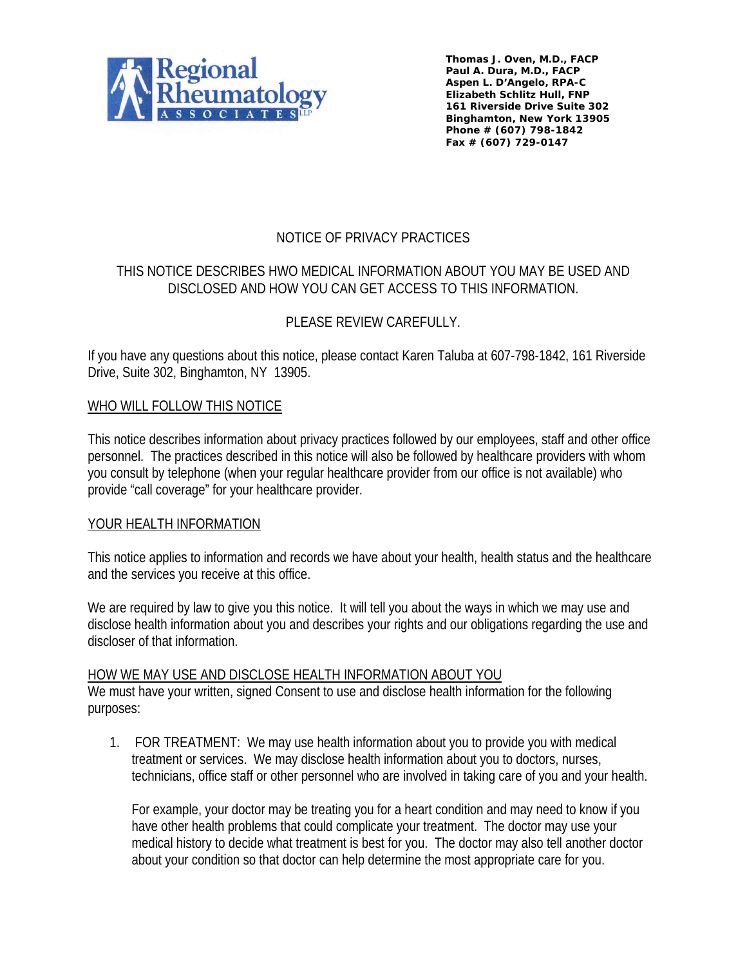

**Thomas J. Oven, M.D., FACP Paul A. Dura, M.D., FACP Aspen L. D'Angelo, RPA-C Elizabeth Schlitz Hull, FNP 161 Riverside Drive Suite 302 Binghamton, New York 13905 Phone # (607) 798-1842 Fax # (607) 729-0147**

## NOTICE OF PRIVACY PRACTICES

## THIS NOTICE DESCRIBES HWO MEDICAL INFORMATION ABOUT YOU MAY BE USED AND DISCLOSED AND HOW YOU CAN GET ACCESS TO THIS INFORMATION.

# PLEASE REVIEW CAREFULLY.

If you have any questions about this notice, please contact Karen Taluba at 607-798-1842, 161 Riverside Drive, Suite 302, Binghamton, NY 13905.

### WHO WILL FOLLOW THIS NOTICE

This notice describes information about privacy practices followed by our employees, staff and other office personnel. The practices described in this notice will also be followed by healthcare providers with whom you consult by telephone (when your regular healthcare provider from our office is not available) who provide "call coverage" for your healthcare provider.

### YOUR HEALTH INFORMATION

This notice applies to information and records we have about your health, health status and the healthcare and the services you receive at this office.

We are required by law to give you this notice. It will tell you about the ways in which we may use and disclose health information about you and describes your rights and our obligations regarding the use and discloser of that information.

### HOW WE MAY USE AND DISCLOSE HEALTH INFORMATION ABOUT YOU

We must have your written, signed Consent to use and disclose health information for the following purposes:

1. FOR TREATMENT: We may use health information about you to provide you with medical treatment or services. We may disclose health information about you to doctors, nurses, technicians, office staff or other personnel who are involved in taking care of you and your health.

For example, your doctor may be treating you for a heart condition and may need to know if you have other health problems that could complicate your treatment. The doctor may use your medical history to decide what treatment is best for you. The doctor may also tell another doctor about your condition so that doctor can help determine the most appropriate care for you.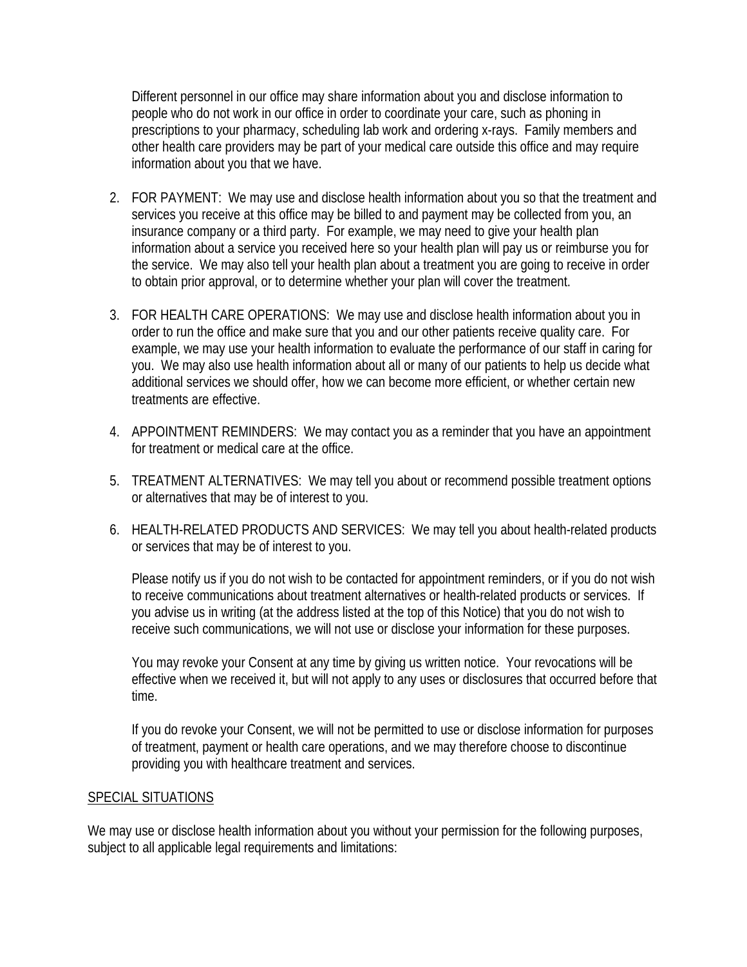Different personnel in our office may share information about you and disclose information to people who do not work in our office in order to coordinate your care, such as phoning in prescriptions to your pharmacy, scheduling lab work and ordering x-rays. Family members and other health care providers may be part of your medical care outside this office and may require information about you that we have.

- 2. FOR PAYMENT: We may use and disclose health information about you so that the treatment and services you receive at this office may be billed to and payment may be collected from you, an insurance company or a third party. For example, we may need to give your health plan information about a service you received here so your health plan will pay us or reimburse you for the service. We may also tell your health plan about a treatment you are going to receive in order to obtain prior approval, or to determine whether your plan will cover the treatment.
- 3. FOR HEALTH CARE OPERATIONS: We may use and disclose health information about you in order to run the office and make sure that you and our other patients receive quality care. For example, we may use your health information to evaluate the performance of our staff in caring for you. We may also use health information about all or many of our patients to help us decide what additional services we should offer, how we can become more efficient, or whether certain new treatments are effective.
- 4. APPOINTMENT REMINDERS: We may contact you as a reminder that you have an appointment for treatment or medical care at the office.
- 5. TREATMENT ALTERNATIVES: We may tell you about or recommend possible treatment options or alternatives that may be of interest to you.
- 6. HEALTH-RELATED PRODUCTS AND SERVICES: We may tell you about health-related products or services that may be of interest to you.

Please notify us if you do not wish to be contacted for appointment reminders, or if you do not wish to receive communications about treatment alternatives or health-related products or services. If you advise us in writing (at the address listed at the top of this Notice) that you do not wish to receive such communications, we will not use or disclose your information for these purposes.

You may revoke your Consent at any time by giving us written notice. Your revocations will be effective when we received it, but will not apply to any uses or disclosures that occurred before that time.

If you do revoke your Consent, we will not be permitted to use or disclose information for purposes of treatment, payment or health care operations, and we may therefore choose to discontinue providing you with healthcare treatment and services.

#### SPECIAL SITUATIONS

We may use or disclose health information about you without your permission for the following purposes, subject to all applicable legal requirements and limitations: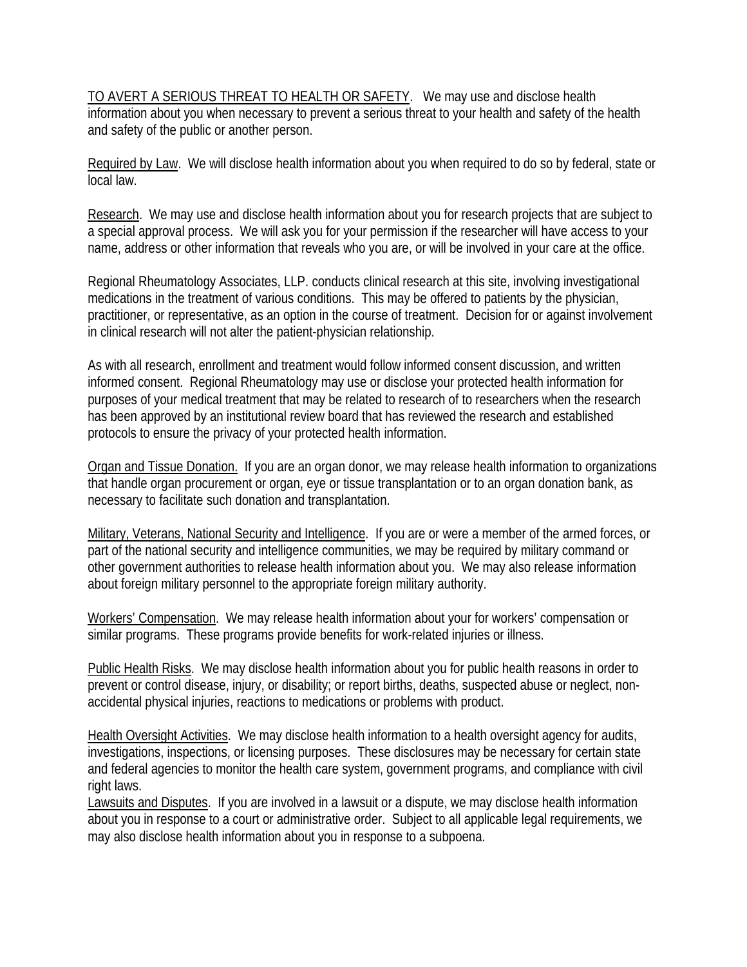TO AVERT A SERIOUS THREAT TO HEALTH OR SAFETY. We may use and disclose health information about you when necessary to prevent a serious threat to your health and safety of the health and safety of the public or another person.

Required by Law. We will disclose health information about you when required to do so by federal, state or local law.

Research. We may use and disclose health information about you for research projects that are subject to a special approval process. We will ask you for your permission if the researcher will have access to your name, address or other information that reveals who you are, or will be involved in your care at the office.

Regional Rheumatology Associates, LLP. conducts clinical research at this site, involving investigational medications in the treatment of various conditions. This may be offered to patients by the physician, practitioner, or representative, as an option in the course of treatment. Decision for or against involvement in clinical research will not alter the patient-physician relationship.

As with all research, enrollment and treatment would follow informed consent discussion, and written informed consent. Regional Rheumatology may use or disclose your protected health information for purposes of your medical treatment that may be related to research of to researchers when the research has been approved by an institutional review board that has reviewed the research and established protocols to ensure the privacy of your protected health information.

Organ and Tissue Donation. If you are an organ donor, we may release health information to organizations that handle organ procurement or organ, eye or tissue transplantation or to an organ donation bank, as necessary to facilitate such donation and transplantation.

Military, Veterans, National Security and Intelligence. If you are or were a member of the armed forces, or part of the national security and intelligence communities, we may be required by military command or other government authorities to release health information about you. We may also release information about foreign military personnel to the appropriate foreign military authority.

Workers' Compensation. We may release health information about your for workers' compensation or similar programs. These programs provide benefits for work-related injuries or illness.

Public Health Risks. We may disclose health information about you for public health reasons in order to prevent or control disease, injury, or disability; or report births, deaths, suspected abuse or neglect, nonaccidental physical injuries, reactions to medications or problems with product.

Health Oversight Activities. We may disclose health information to a health oversight agency for audits, investigations, inspections, or licensing purposes. These disclosures may be necessary for certain state and federal agencies to monitor the health care system, government programs, and compliance with civil right laws.

Lawsuits and Disputes. If you are involved in a lawsuit or a dispute, we may disclose health information about you in response to a court or administrative order. Subject to all applicable legal requirements, we may also disclose health information about you in response to a subpoena.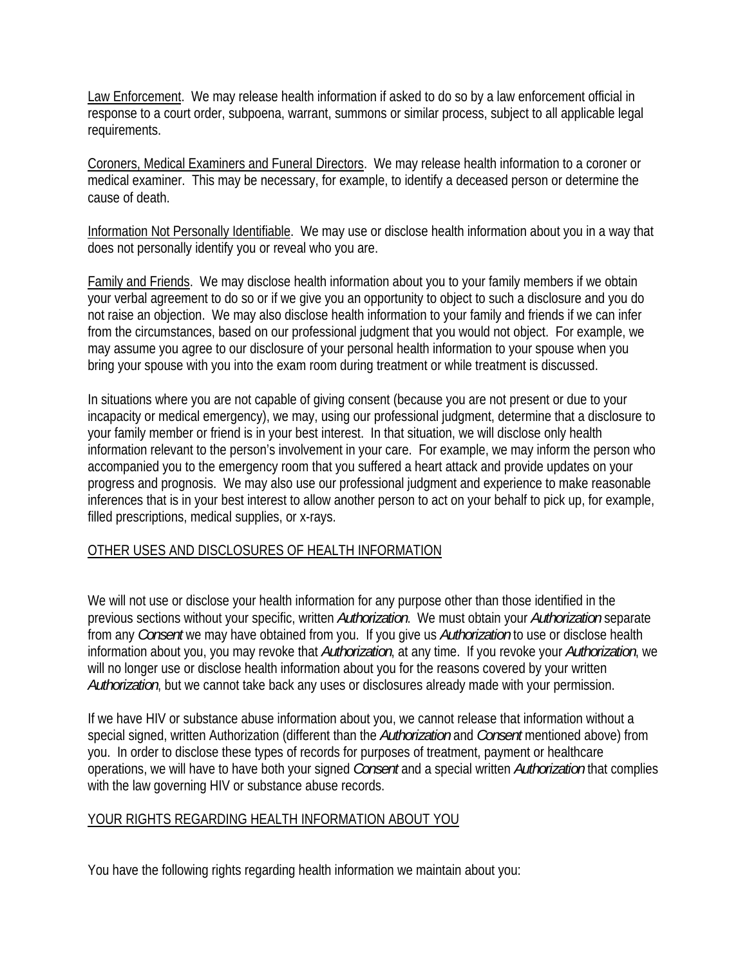Law Enforcement. We may release health information if asked to do so by a law enforcement official in response to a court order, subpoena, warrant, summons or similar process, subject to all applicable legal requirements.

Coroners, Medical Examiners and Funeral Directors. We may release health information to a coroner or medical examiner. This may be necessary, for example, to identify a deceased person or determine the cause of death.

Information Not Personally Identifiable. We may use or disclose health information about you in a way that does not personally identify you or reveal who you are.

Family and Friends. We may disclose health information about you to your family members if we obtain your verbal agreement to do so or if we give you an opportunity to object to such a disclosure and you do not raise an objection. We may also disclose health information to your family and friends if we can infer from the circumstances, based on our professional judgment that you would not object. For example, we may assume you agree to our disclosure of your personal health information to your spouse when you bring your spouse with you into the exam room during treatment or while treatment is discussed.

In situations where you are not capable of giving consent (because you are not present or due to your incapacity or medical emergency), we may, using our professional judgment, determine that a disclosure to your family member or friend is in your best interest. In that situation, we will disclose only health information relevant to the person's involvement in your care. For example, we may inform the person who accompanied you to the emergency room that you suffered a heart attack and provide updates on your progress and prognosis. We may also use our professional judgment and experience to make reasonable inferences that is in your best interest to allow another person to act on your behalf to pick up, for example, filled prescriptions, medical supplies, or x-rays.

### OTHER USES AND DISCLOSURES OF HEALTH INFORMATION

We will not use or disclose your health information for any purpose other than those identified in the previous sections without your specific, written *Authorization*. We must obtain your *Authorization* separate from any *Consent* we may have obtained from you. If you give us *Authorization* to use or disclose health information about you, you may revoke that *Authorization*, at any time. If you revoke your *Authorization*, we will no longer use or disclose health information about you for the reasons covered by your written *Authorization*, but we cannot take back any uses or disclosures already made with your permission.

If we have HIV or substance abuse information about you, we cannot release that information without a special signed, written Authorization (different than the *Authorization* and *Consent* mentioned above) from you. In order to disclose these types of records for purposes of treatment, payment or healthcare operations, we will have to have both your signed *Consent* and a special written *Authorization* that complies with the law governing HIV or substance abuse records.

### YOUR RIGHTS REGARDING HEALTH INFORMATION ABOUT YOU

You have the following rights regarding health information we maintain about you: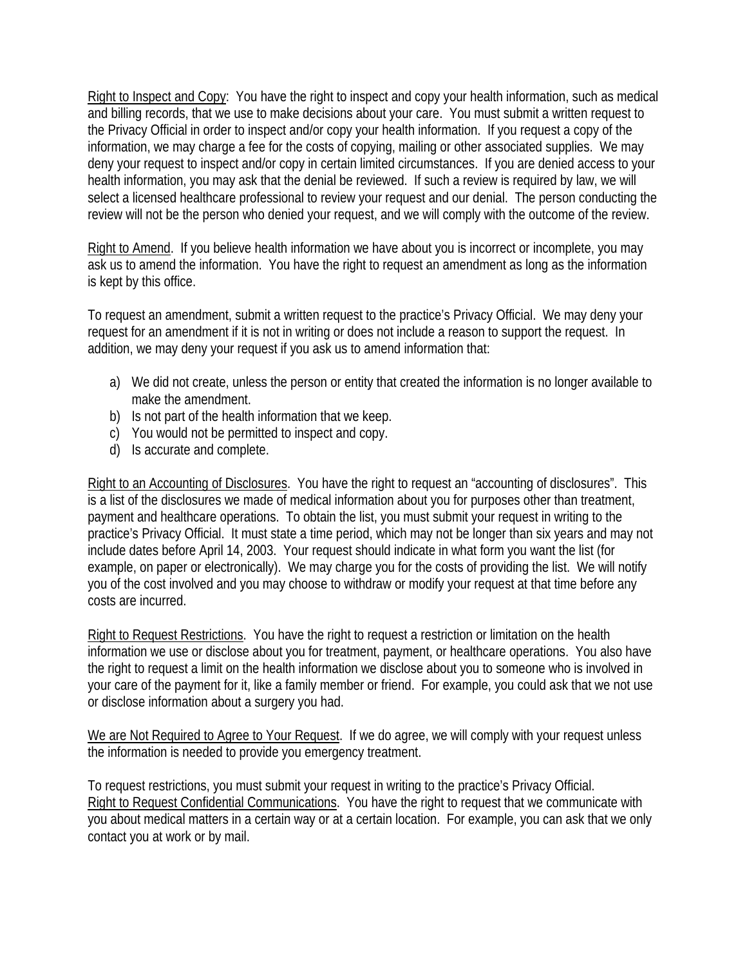Right to Inspect and Copy: You have the right to inspect and copy your health information, such as medical and billing records, that we use to make decisions about your care. You must submit a written request to the Privacy Official in order to inspect and/or copy your health information. If you request a copy of the information, we may charge a fee for the costs of copying, mailing or other associated supplies. We may deny your request to inspect and/or copy in certain limited circumstances. If you are denied access to your health information, you may ask that the denial be reviewed. If such a review is required by law, we will select a licensed healthcare professional to review your request and our denial. The person conducting the review will not be the person who denied your request, and we will comply with the outcome of the review.

Right to Amend. If you believe health information we have about you is incorrect or incomplete, you may ask us to amend the information. You have the right to request an amendment as long as the information is kept by this office.

To request an amendment, submit a written request to the practice's Privacy Official. We may deny your request for an amendment if it is not in writing or does not include a reason to support the request. In addition, we may deny your request if you ask us to amend information that:

- a) We did not create, unless the person or entity that created the information is no longer available to make the amendment.
- b) Is not part of the health information that we keep.
- c) You would not be permitted to inspect and copy.
- d) Is accurate and complete.

Right to an Accounting of Disclosures. You have the right to request an "accounting of disclosures". This is a list of the disclosures we made of medical information about you for purposes other than treatment, payment and healthcare operations. To obtain the list, you must submit your request in writing to the practice's Privacy Official. It must state a time period, which may not be longer than six years and may not include dates before April 14, 2003. Your request should indicate in what form you want the list (for example, on paper or electronically). We may charge you for the costs of providing the list. We will notify you of the cost involved and you may choose to withdraw or modify your request at that time before any costs are incurred.

Right to Request Restrictions. You have the right to request a restriction or limitation on the health information we use or disclose about you for treatment, payment, or healthcare operations. You also have the right to request a limit on the health information we disclose about you to someone who is involved in your care of the payment for it, like a family member or friend. For example, you could ask that we not use or disclose information about a surgery you had.

We are Not Required to Agree to Your Request. If we do agree, we will comply with your request unless the information is needed to provide you emergency treatment.

To request restrictions, you must submit your request in writing to the practice's Privacy Official. Right to Request Confidential Communications. You have the right to request that we communicate with you about medical matters in a certain way or at a certain location. For example, you can ask that we only contact you at work or by mail.